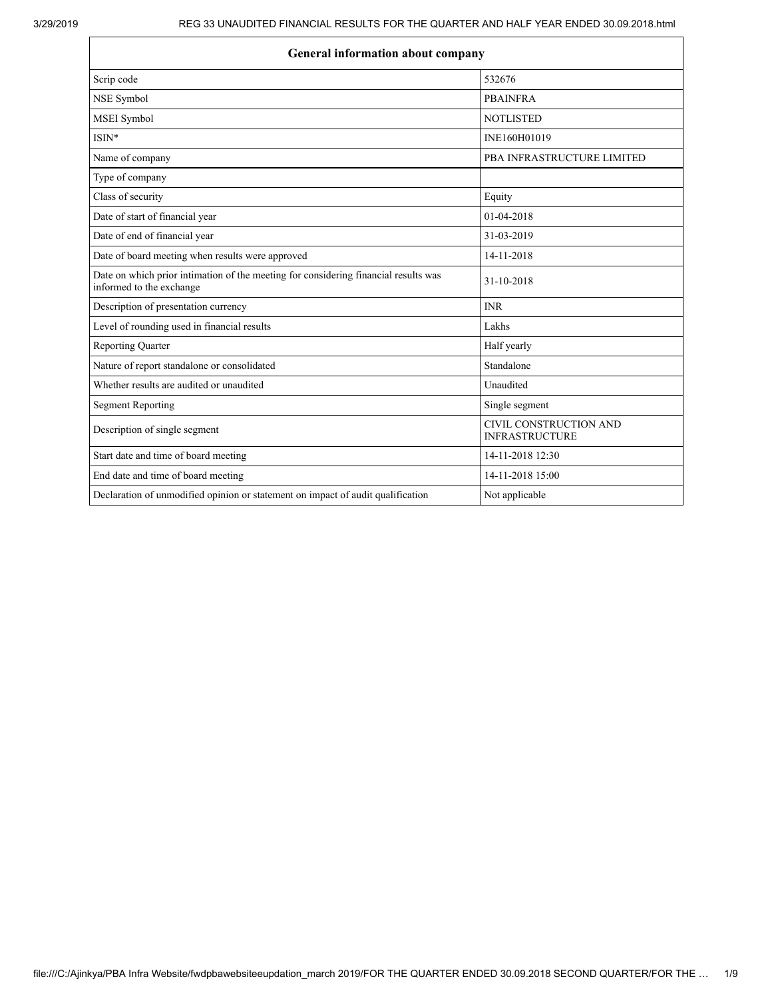| Scrip code                                                                                                      | 532676                                          |  |  |
|-----------------------------------------------------------------------------------------------------------------|-------------------------------------------------|--|--|
| NSE Symbol                                                                                                      | <b>PBAINFRA</b>                                 |  |  |
| MSEI Symbol                                                                                                     | <b>NOTLISTED</b>                                |  |  |
| ISIN*                                                                                                           | INE160H01019                                    |  |  |
| Name of company                                                                                                 | PBA INFRASTRUCTURE LIMITED                      |  |  |
| Type of company                                                                                                 |                                                 |  |  |
| Class of security                                                                                               | Equity                                          |  |  |
| Date of start of financial year                                                                                 | 01-04-2018                                      |  |  |
| Date of end of financial year                                                                                   | 31-03-2019                                      |  |  |
| Date of board meeting when results were approved                                                                | 14-11-2018                                      |  |  |
| Date on which prior intimation of the meeting for considering financial results was<br>informed to the exchange | 31-10-2018                                      |  |  |
| Description of presentation currency                                                                            | <b>INR</b>                                      |  |  |
| Level of rounding used in financial results                                                                     | Lakhs                                           |  |  |
| <b>Reporting Quarter</b>                                                                                        | Half yearly                                     |  |  |
| Nature of report standalone or consolidated                                                                     | Standalone                                      |  |  |
| Whether results are audited or unaudited                                                                        | Unaudited                                       |  |  |
| <b>Segment Reporting</b>                                                                                        | Single segment                                  |  |  |
| Description of single segment                                                                                   | CIVIL CONSTRUCTION AND<br><b>INFRASTRUCTURE</b> |  |  |
| Start date and time of board meeting                                                                            | 14-11-2018 12:30                                |  |  |
| End date and time of board meeting                                                                              | 14-11-2018 15:00                                |  |  |
| Declaration of unmodified opinion or statement on impact of audit qualification                                 | Not applicable                                  |  |  |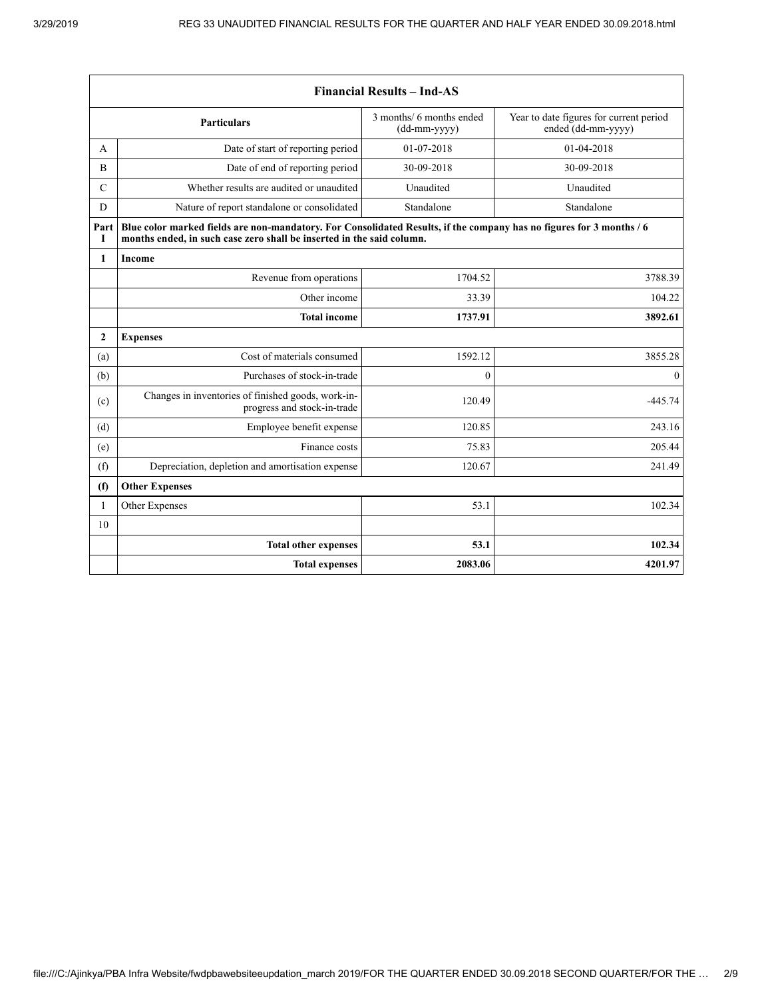| <b>Financial Results - Ind-AS</b> |                                                                                                                                                                                               |                                            |                                                               |
|-----------------------------------|-----------------------------------------------------------------------------------------------------------------------------------------------------------------------------------------------|--------------------------------------------|---------------------------------------------------------------|
|                                   | <b>Particulars</b>                                                                                                                                                                            | 3 months/ 6 months ended<br>$(dd-mm-yyyy)$ | Year to date figures for current period<br>ended (dd-mm-yyyy) |
| A                                 | Date of start of reporting period                                                                                                                                                             | 01-07-2018                                 | 01-04-2018                                                    |
| B                                 | Date of end of reporting period                                                                                                                                                               | 30-09-2018                                 | 30-09-2018                                                    |
| $\mathcal{C}$                     | Whether results are audited or unaudited                                                                                                                                                      | Unaudited                                  | Unaudited                                                     |
| D                                 | Nature of report standalone or consolidated                                                                                                                                                   | Standalone                                 | Standalone                                                    |
| Part<br>1                         | Blue color marked fields are non-mandatory. For Consolidated Results, if the company has no figures for 3 months / 6<br>months ended, in such case zero shall be inserted in the said column. |                                            |                                                               |
| 1                                 | Income                                                                                                                                                                                        |                                            |                                                               |
|                                   | Revenue from operations                                                                                                                                                                       | 1704.52                                    | 3788.39                                                       |
|                                   | Other income                                                                                                                                                                                  | 33.39                                      | 104.22                                                        |
|                                   | <b>Total income</b>                                                                                                                                                                           | 1737.91                                    | 3892.61                                                       |
| $\mathbf{2}$                      | <b>Expenses</b>                                                                                                                                                                               |                                            |                                                               |
| (a)                               | Cost of materials consumed                                                                                                                                                                    | 1592.12                                    | 3855.28                                                       |
| (b)                               | Purchases of stock-in-trade                                                                                                                                                                   | $\theta$                                   | $\Omega$                                                      |
| (c)                               | Changes in inventories of finished goods, work-in-<br>progress and stock-in-trade                                                                                                             | 120.49                                     | $-445.74$                                                     |
| (d)                               | Employee benefit expense                                                                                                                                                                      | 120.85                                     | 243.16                                                        |
| (e)                               | Finance costs                                                                                                                                                                                 | 75.83                                      | 205.44                                                        |
| (f)                               | Depreciation, depletion and amortisation expense                                                                                                                                              | 120.67                                     | 241.49                                                        |
| (f)                               | <b>Other Expenses</b>                                                                                                                                                                         |                                            |                                                               |
| 1                                 | Other Expenses                                                                                                                                                                                | 53.1                                       | 102.34                                                        |
| 10                                |                                                                                                                                                                                               |                                            |                                                               |
|                                   | <b>Total other expenses</b>                                                                                                                                                                   | 53.1                                       | 102.34                                                        |
|                                   | <b>Total expenses</b>                                                                                                                                                                         | 2083.06                                    | 4201.97                                                       |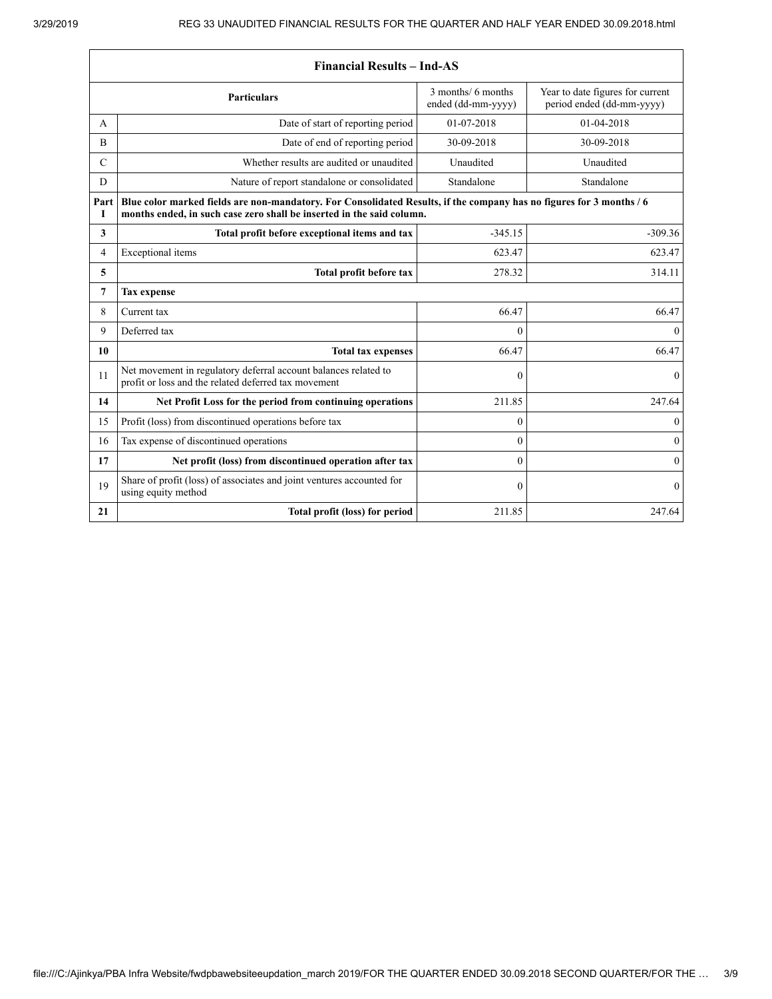| <b>Financial Results - Ind-AS</b> |                                                                                                                                                                                               |                                                                                                           |              |  |
|-----------------------------------|-----------------------------------------------------------------------------------------------------------------------------------------------------------------------------------------------|-----------------------------------------------------------------------------------------------------------|--------------|--|
|                                   | <b>Particulars</b>                                                                                                                                                                            | 3 months/ 6 months<br>Year to date figures for current<br>ended (dd-mm-yyyy)<br>period ended (dd-mm-yyyy) |              |  |
| A                                 | Date of start of reporting period                                                                                                                                                             | 01-07-2018                                                                                                | 01-04-2018   |  |
| B                                 | Date of end of reporting period                                                                                                                                                               | 30-09-2018                                                                                                | 30-09-2018   |  |
| C                                 | Whether results are audited or unaudited                                                                                                                                                      | Unaudited                                                                                                 | Unaudited    |  |
| D                                 | Nature of report standalone or consolidated                                                                                                                                                   | Standalone                                                                                                | Standalone   |  |
| Part<br>I                         | Blue color marked fields are non-mandatory. For Consolidated Results, if the company has no figures for 3 months / 6<br>months ended, in such case zero shall be inserted in the said column. |                                                                                                           |              |  |
| 3                                 | Total profit before exceptional items and tax                                                                                                                                                 | $-345.15$                                                                                                 | $-309.36$    |  |
| 4                                 | Exceptional items                                                                                                                                                                             | 623.47                                                                                                    | 623.47       |  |
| 5                                 | Total profit before tax                                                                                                                                                                       | 278.32                                                                                                    |              |  |
| 7                                 | <b>Tax expense</b>                                                                                                                                                                            |                                                                                                           |              |  |
| 8                                 | Current tax                                                                                                                                                                                   | 66.47                                                                                                     | 66.47        |  |
| 9                                 |                                                                                                                                                                                               |                                                                                                           |              |  |
|                                   | Deferred tax                                                                                                                                                                                  | $\Omega$                                                                                                  | $\theta$     |  |
| 10                                | <b>Total tax expenses</b>                                                                                                                                                                     | 66.47                                                                                                     | 66.47        |  |
| 11                                | Net movement in regulatory deferral account balances related to<br>profit or loss and the related deferred tax movement                                                                       | $\theta$                                                                                                  | $\mathbf{0}$ |  |
| 14                                | Net Profit Loss for the period from continuing operations                                                                                                                                     | 211.85                                                                                                    | 247.64       |  |
| 15                                | Profit (loss) from discontinued operations before tax                                                                                                                                         | $\Omega$                                                                                                  | $\mathbf{0}$ |  |
| 16                                | Tax expense of discontinued operations                                                                                                                                                        | $\theta$                                                                                                  | $\mathbf{0}$ |  |
| 17                                | Net profit (loss) from discontinued operation after tax                                                                                                                                       | $\mathbf{0}$                                                                                              | $\mathbf{0}$ |  |
| 19                                | Share of profit (loss) of associates and joint ventures accounted for<br>using equity method                                                                                                  | $\mathbf{0}$                                                                                              | $\mathbf{0}$ |  |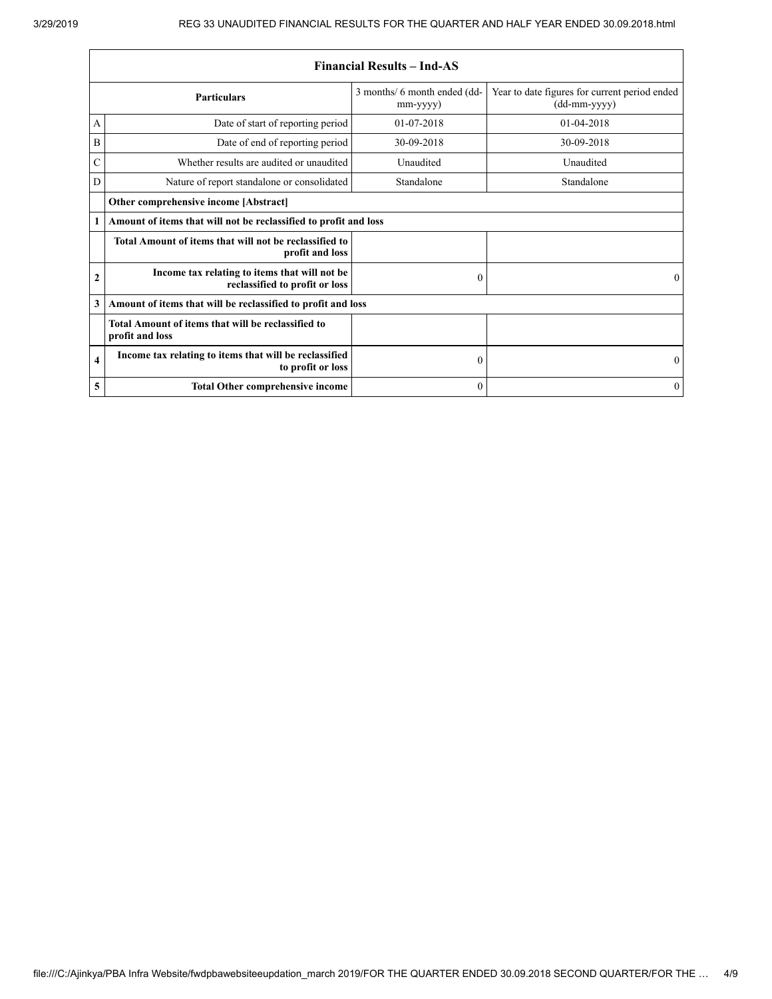$\overline{\phantom{a}}$ 

|                         | <b>Financial Results – Ind-AS</b>                                               |                                                |                                                                 |  |
|-------------------------|---------------------------------------------------------------------------------|------------------------------------------------|-----------------------------------------------------------------|--|
|                         | <b>Particulars</b>                                                              | 3 months/ 6 month ended (dd-<br>$mm$ -yyyy $)$ | Year to date figures for current period ended<br>$(dd-mm-yyyy)$ |  |
| А                       | Date of start of reporting period                                               | 01-07-2018                                     | 01-04-2018                                                      |  |
| Β                       | Date of end of reporting period                                                 | 30-09-2018                                     | 30-09-2018                                                      |  |
| $\mathcal{C}$           | Whether results are audited or unaudited                                        | Unaudited                                      | Unaudited                                                       |  |
| D                       | Nature of report standalone or consolidated                                     | Standalone                                     | Standalone                                                      |  |
|                         | Other comprehensive income [Abstract]                                           |                                                |                                                                 |  |
| 1                       | Amount of items that will not be reclassified to profit and loss                |                                                |                                                                 |  |
|                         | Total Amount of items that will not be reclassified to<br>profit and loss       |                                                |                                                                 |  |
| $\mathbf{2}$            | Income tax relating to items that will not be<br>reclassified to profit or loss | $\boldsymbol{0}$                               | $\Omega$                                                        |  |
| 3                       | Amount of items that will be reclassified to profit and loss                    |                                                |                                                                 |  |
|                         | Total Amount of items that will be reclassified to<br>profit and loss           |                                                |                                                                 |  |
| $\overline{\mathbf{4}}$ | Income tax relating to items that will be reclassified<br>to profit or loss     | $\boldsymbol{0}$                               | $\Omega$                                                        |  |
| 5                       | <b>Total Other comprehensive income</b>                                         | $\theta$                                       | $\theta$                                                        |  |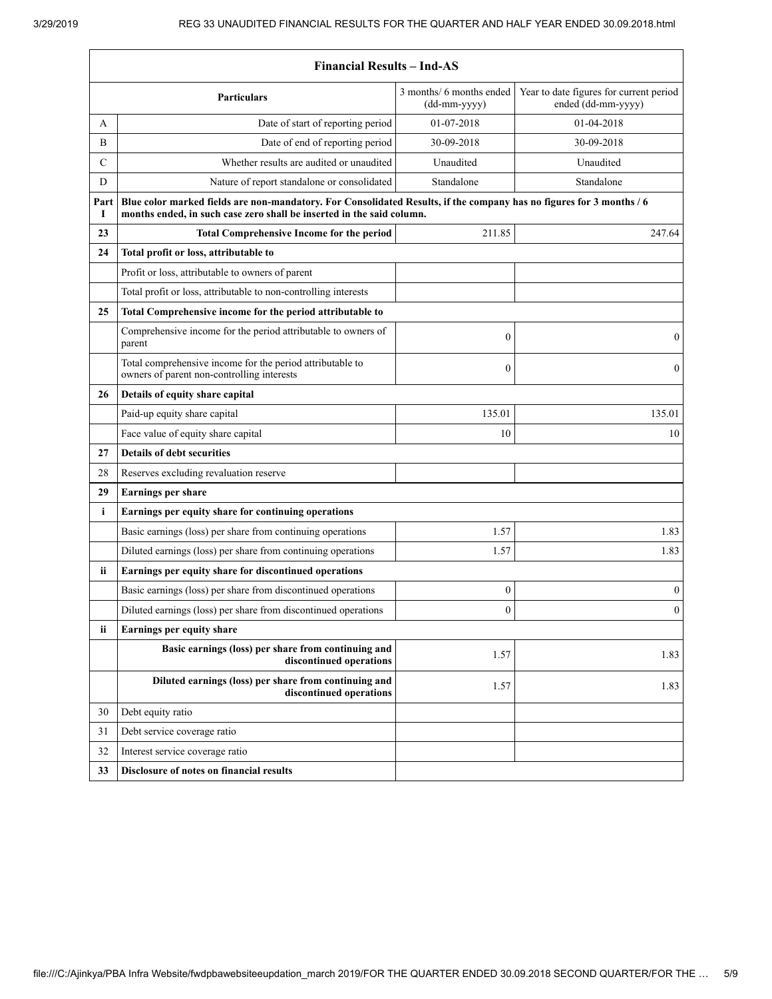$\Gamma$ 

ä

| 3 months/ 6 months ended<br>Year to date figures for current period<br><b>Particulars</b><br>ended (dd-mm-yyyy)<br>$(dd-mm-yyyy)$<br>Date of start of reporting period<br>01-07-2018<br>01-04-2018<br>A<br>Date of end of reporting period<br>30-09-2018<br>30-09-2018<br>B<br>Whether results are audited or unaudited<br>C<br>Unaudited<br>Unaudited<br>Standalone<br>D<br>Nature of report standalone or consolidated<br>Standalone<br>Blue color marked fields are non-mandatory. For Consolidated Results, if the company has no figures for 3 months / 6<br>Part<br>months ended, in such case zero shall be inserted in the said column.<br>1<br>23<br><b>Total Comprehensive Income for the period</b><br>211.85<br>247.64<br>24<br>Total profit or loss, attributable to<br>Profit or loss, attributable to owners of parent<br>Total profit or loss, attributable to non-controlling interests<br>25<br>Total Comprehensive income for the period attributable to<br>Comprehensive income for the period attributable to owners of<br>$\mathbf{0}$<br>$\boldsymbol{0}$<br>parent<br>Total comprehensive income for the period attributable to<br>$\mathbf{0}$<br>$\mathbf{0}$<br>owners of parent non-controlling interests<br>Details of equity share capital<br>26<br>Paid-up equity share capital<br>135.01<br>135.01<br>Face value of equity share capital<br>10<br>10<br><b>Details of debt securities</b><br>27<br>Reserves excluding revaluation reserve<br>28<br>29<br><b>Earnings per share</b><br>i<br>Earnings per equity share for continuing operations<br>Basic earnings (loss) per share from continuing operations<br>1.57<br>1.83<br>1.57<br>Diluted earnings (loss) per share from continuing operations<br>1.83<br>ii.<br>Earnings per equity share for discontinued operations<br>Basic earnings (loss) per share from discontinued operations<br>$\boldsymbol{0}$<br>$\boldsymbol{0}$<br>$\mathbf{0}$<br>$\boldsymbol{0}$<br>Diluted earnings (loss) per share from discontinued operations<br>Earnings per equity share<br>ii<br>Basic earnings (loss) per share from continuing and<br>1.57<br>1.83<br>discontinued operations<br>Diluted earnings (loss) per share from continuing and<br>1.57<br>1.83<br>discontinued operations<br>Debt equity ratio<br>30<br>31<br>Debt service coverage ratio<br>32<br>Interest service coverage ratio<br>Disclosure of notes on financial results<br>33 | <b>Financial Results - Ind-AS</b> |  |  |  |
|--------------------------------------------------------------------------------------------------------------------------------------------------------------------------------------------------------------------------------------------------------------------------------------------------------------------------------------------------------------------------------------------------------------------------------------------------------------------------------------------------------------------------------------------------------------------------------------------------------------------------------------------------------------------------------------------------------------------------------------------------------------------------------------------------------------------------------------------------------------------------------------------------------------------------------------------------------------------------------------------------------------------------------------------------------------------------------------------------------------------------------------------------------------------------------------------------------------------------------------------------------------------------------------------------------------------------------------------------------------------------------------------------------------------------------------------------------------------------------------------------------------------------------------------------------------------------------------------------------------------------------------------------------------------------------------------------------------------------------------------------------------------------------------------------------------------------------------------------------------------------------------------------------------------------------------------------------------------------------------------------------------------------------------------------------------------------------------------------------------------------------------------------------------------------------------------------------------------------------------------------------------------------------------------------------------------------------------------------------------------------------------------------------------------------------|-----------------------------------|--|--|--|
|                                                                                                                                                                                                                                                                                                                                                                                                                                                                                                                                                                                                                                                                                                                                                                                                                                                                                                                                                                                                                                                                                                                                                                                                                                                                                                                                                                                                                                                                                                                                                                                                                                                                                                                                                                                                                                                                                                                                                                                                                                                                                                                                                                                                                                                                                                                                                                                                                                |                                   |  |  |  |
|                                                                                                                                                                                                                                                                                                                                                                                                                                                                                                                                                                                                                                                                                                                                                                                                                                                                                                                                                                                                                                                                                                                                                                                                                                                                                                                                                                                                                                                                                                                                                                                                                                                                                                                                                                                                                                                                                                                                                                                                                                                                                                                                                                                                                                                                                                                                                                                                                                |                                   |  |  |  |
|                                                                                                                                                                                                                                                                                                                                                                                                                                                                                                                                                                                                                                                                                                                                                                                                                                                                                                                                                                                                                                                                                                                                                                                                                                                                                                                                                                                                                                                                                                                                                                                                                                                                                                                                                                                                                                                                                                                                                                                                                                                                                                                                                                                                                                                                                                                                                                                                                                |                                   |  |  |  |
|                                                                                                                                                                                                                                                                                                                                                                                                                                                                                                                                                                                                                                                                                                                                                                                                                                                                                                                                                                                                                                                                                                                                                                                                                                                                                                                                                                                                                                                                                                                                                                                                                                                                                                                                                                                                                                                                                                                                                                                                                                                                                                                                                                                                                                                                                                                                                                                                                                |                                   |  |  |  |
|                                                                                                                                                                                                                                                                                                                                                                                                                                                                                                                                                                                                                                                                                                                                                                                                                                                                                                                                                                                                                                                                                                                                                                                                                                                                                                                                                                                                                                                                                                                                                                                                                                                                                                                                                                                                                                                                                                                                                                                                                                                                                                                                                                                                                                                                                                                                                                                                                                |                                   |  |  |  |
|                                                                                                                                                                                                                                                                                                                                                                                                                                                                                                                                                                                                                                                                                                                                                                                                                                                                                                                                                                                                                                                                                                                                                                                                                                                                                                                                                                                                                                                                                                                                                                                                                                                                                                                                                                                                                                                                                                                                                                                                                                                                                                                                                                                                                                                                                                                                                                                                                                |                                   |  |  |  |
|                                                                                                                                                                                                                                                                                                                                                                                                                                                                                                                                                                                                                                                                                                                                                                                                                                                                                                                                                                                                                                                                                                                                                                                                                                                                                                                                                                                                                                                                                                                                                                                                                                                                                                                                                                                                                                                                                                                                                                                                                                                                                                                                                                                                                                                                                                                                                                                                                                |                                   |  |  |  |
|                                                                                                                                                                                                                                                                                                                                                                                                                                                                                                                                                                                                                                                                                                                                                                                                                                                                                                                                                                                                                                                                                                                                                                                                                                                                                                                                                                                                                                                                                                                                                                                                                                                                                                                                                                                                                                                                                                                                                                                                                                                                                                                                                                                                                                                                                                                                                                                                                                |                                   |  |  |  |
|                                                                                                                                                                                                                                                                                                                                                                                                                                                                                                                                                                                                                                                                                                                                                                                                                                                                                                                                                                                                                                                                                                                                                                                                                                                                                                                                                                                                                                                                                                                                                                                                                                                                                                                                                                                                                                                                                                                                                                                                                                                                                                                                                                                                                                                                                                                                                                                                                                |                                   |  |  |  |
|                                                                                                                                                                                                                                                                                                                                                                                                                                                                                                                                                                                                                                                                                                                                                                                                                                                                                                                                                                                                                                                                                                                                                                                                                                                                                                                                                                                                                                                                                                                                                                                                                                                                                                                                                                                                                                                                                                                                                                                                                                                                                                                                                                                                                                                                                                                                                                                                                                |                                   |  |  |  |
|                                                                                                                                                                                                                                                                                                                                                                                                                                                                                                                                                                                                                                                                                                                                                                                                                                                                                                                                                                                                                                                                                                                                                                                                                                                                                                                                                                                                                                                                                                                                                                                                                                                                                                                                                                                                                                                                                                                                                                                                                                                                                                                                                                                                                                                                                                                                                                                                                                |                                   |  |  |  |
|                                                                                                                                                                                                                                                                                                                                                                                                                                                                                                                                                                                                                                                                                                                                                                                                                                                                                                                                                                                                                                                                                                                                                                                                                                                                                                                                                                                                                                                                                                                                                                                                                                                                                                                                                                                                                                                                                                                                                                                                                                                                                                                                                                                                                                                                                                                                                                                                                                |                                   |  |  |  |
|                                                                                                                                                                                                                                                                                                                                                                                                                                                                                                                                                                                                                                                                                                                                                                                                                                                                                                                                                                                                                                                                                                                                                                                                                                                                                                                                                                                                                                                                                                                                                                                                                                                                                                                                                                                                                                                                                                                                                                                                                                                                                                                                                                                                                                                                                                                                                                                                                                |                                   |  |  |  |
|                                                                                                                                                                                                                                                                                                                                                                                                                                                                                                                                                                                                                                                                                                                                                                                                                                                                                                                                                                                                                                                                                                                                                                                                                                                                                                                                                                                                                                                                                                                                                                                                                                                                                                                                                                                                                                                                                                                                                                                                                                                                                                                                                                                                                                                                                                                                                                                                                                |                                   |  |  |  |
|                                                                                                                                                                                                                                                                                                                                                                                                                                                                                                                                                                                                                                                                                                                                                                                                                                                                                                                                                                                                                                                                                                                                                                                                                                                                                                                                                                                                                                                                                                                                                                                                                                                                                                                                                                                                                                                                                                                                                                                                                                                                                                                                                                                                                                                                                                                                                                                                                                |                                   |  |  |  |
|                                                                                                                                                                                                                                                                                                                                                                                                                                                                                                                                                                                                                                                                                                                                                                                                                                                                                                                                                                                                                                                                                                                                                                                                                                                                                                                                                                                                                                                                                                                                                                                                                                                                                                                                                                                                                                                                                                                                                                                                                                                                                                                                                                                                                                                                                                                                                                                                                                |                                   |  |  |  |
|                                                                                                                                                                                                                                                                                                                                                                                                                                                                                                                                                                                                                                                                                                                                                                                                                                                                                                                                                                                                                                                                                                                                                                                                                                                                                                                                                                                                                                                                                                                                                                                                                                                                                                                                                                                                                                                                                                                                                                                                                                                                                                                                                                                                                                                                                                                                                                                                                                |                                   |  |  |  |
|                                                                                                                                                                                                                                                                                                                                                                                                                                                                                                                                                                                                                                                                                                                                                                                                                                                                                                                                                                                                                                                                                                                                                                                                                                                                                                                                                                                                                                                                                                                                                                                                                                                                                                                                                                                                                                                                                                                                                                                                                                                                                                                                                                                                                                                                                                                                                                                                                                |                                   |  |  |  |
|                                                                                                                                                                                                                                                                                                                                                                                                                                                                                                                                                                                                                                                                                                                                                                                                                                                                                                                                                                                                                                                                                                                                                                                                                                                                                                                                                                                                                                                                                                                                                                                                                                                                                                                                                                                                                                                                                                                                                                                                                                                                                                                                                                                                                                                                                                                                                                                                                                |                                   |  |  |  |
|                                                                                                                                                                                                                                                                                                                                                                                                                                                                                                                                                                                                                                                                                                                                                                                                                                                                                                                                                                                                                                                                                                                                                                                                                                                                                                                                                                                                                                                                                                                                                                                                                                                                                                                                                                                                                                                                                                                                                                                                                                                                                                                                                                                                                                                                                                                                                                                                                                |                                   |  |  |  |
|                                                                                                                                                                                                                                                                                                                                                                                                                                                                                                                                                                                                                                                                                                                                                                                                                                                                                                                                                                                                                                                                                                                                                                                                                                                                                                                                                                                                                                                                                                                                                                                                                                                                                                                                                                                                                                                                                                                                                                                                                                                                                                                                                                                                                                                                                                                                                                                                                                |                                   |  |  |  |
|                                                                                                                                                                                                                                                                                                                                                                                                                                                                                                                                                                                                                                                                                                                                                                                                                                                                                                                                                                                                                                                                                                                                                                                                                                                                                                                                                                                                                                                                                                                                                                                                                                                                                                                                                                                                                                                                                                                                                                                                                                                                                                                                                                                                                                                                                                                                                                                                                                |                                   |  |  |  |
|                                                                                                                                                                                                                                                                                                                                                                                                                                                                                                                                                                                                                                                                                                                                                                                                                                                                                                                                                                                                                                                                                                                                                                                                                                                                                                                                                                                                                                                                                                                                                                                                                                                                                                                                                                                                                                                                                                                                                                                                                                                                                                                                                                                                                                                                                                                                                                                                                                |                                   |  |  |  |
|                                                                                                                                                                                                                                                                                                                                                                                                                                                                                                                                                                                                                                                                                                                                                                                                                                                                                                                                                                                                                                                                                                                                                                                                                                                                                                                                                                                                                                                                                                                                                                                                                                                                                                                                                                                                                                                                                                                                                                                                                                                                                                                                                                                                                                                                                                                                                                                                                                |                                   |  |  |  |
|                                                                                                                                                                                                                                                                                                                                                                                                                                                                                                                                                                                                                                                                                                                                                                                                                                                                                                                                                                                                                                                                                                                                                                                                                                                                                                                                                                                                                                                                                                                                                                                                                                                                                                                                                                                                                                                                                                                                                                                                                                                                                                                                                                                                                                                                                                                                                                                                                                |                                   |  |  |  |
|                                                                                                                                                                                                                                                                                                                                                                                                                                                                                                                                                                                                                                                                                                                                                                                                                                                                                                                                                                                                                                                                                                                                                                                                                                                                                                                                                                                                                                                                                                                                                                                                                                                                                                                                                                                                                                                                                                                                                                                                                                                                                                                                                                                                                                                                                                                                                                                                                                |                                   |  |  |  |
|                                                                                                                                                                                                                                                                                                                                                                                                                                                                                                                                                                                                                                                                                                                                                                                                                                                                                                                                                                                                                                                                                                                                                                                                                                                                                                                                                                                                                                                                                                                                                                                                                                                                                                                                                                                                                                                                                                                                                                                                                                                                                                                                                                                                                                                                                                                                                                                                                                |                                   |  |  |  |
|                                                                                                                                                                                                                                                                                                                                                                                                                                                                                                                                                                                                                                                                                                                                                                                                                                                                                                                                                                                                                                                                                                                                                                                                                                                                                                                                                                                                                                                                                                                                                                                                                                                                                                                                                                                                                                                                                                                                                                                                                                                                                                                                                                                                                                                                                                                                                                                                                                |                                   |  |  |  |
|                                                                                                                                                                                                                                                                                                                                                                                                                                                                                                                                                                                                                                                                                                                                                                                                                                                                                                                                                                                                                                                                                                                                                                                                                                                                                                                                                                                                                                                                                                                                                                                                                                                                                                                                                                                                                                                                                                                                                                                                                                                                                                                                                                                                                                                                                                                                                                                                                                |                                   |  |  |  |
|                                                                                                                                                                                                                                                                                                                                                                                                                                                                                                                                                                                                                                                                                                                                                                                                                                                                                                                                                                                                                                                                                                                                                                                                                                                                                                                                                                                                                                                                                                                                                                                                                                                                                                                                                                                                                                                                                                                                                                                                                                                                                                                                                                                                                                                                                                                                                                                                                                |                                   |  |  |  |
|                                                                                                                                                                                                                                                                                                                                                                                                                                                                                                                                                                                                                                                                                                                                                                                                                                                                                                                                                                                                                                                                                                                                                                                                                                                                                                                                                                                                                                                                                                                                                                                                                                                                                                                                                                                                                                                                                                                                                                                                                                                                                                                                                                                                                                                                                                                                                                                                                                |                                   |  |  |  |
|                                                                                                                                                                                                                                                                                                                                                                                                                                                                                                                                                                                                                                                                                                                                                                                                                                                                                                                                                                                                                                                                                                                                                                                                                                                                                                                                                                                                                                                                                                                                                                                                                                                                                                                                                                                                                                                                                                                                                                                                                                                                                                                                                                                                                                                                                                                                                                                                                                |                                   |  |  |  |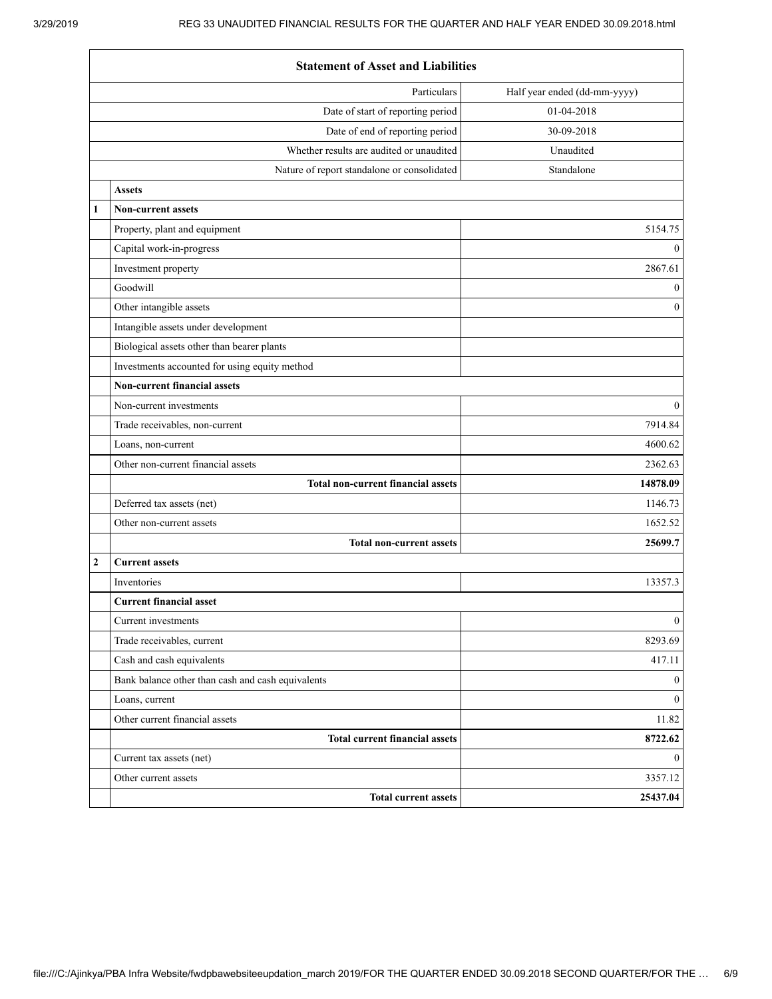$\mathbf{r}$ 

|                | <b>Statement of Asset and Liabilities</b>         |                              |  |  |
|----------------|---------------------------------------------------|------------------------------|--|--|
|                | Particulars                                       | Half year ended (dd-mm-yyyy) |  |  |
|                | Date of start of reporting period                 | 01-04-2018                   |  |  |
|                | Date of end of reporting period                   | 30-09-2018                   |  |  |
|                | Whether results are audited or unaudited          | Unaudited                    |  |  |
|                | Nature of report standalone or consolidated       | Standalone                   |  |  |
|                | <b>Assets</b>                                     |                              |  |  |
| 1              | <b>Non-current assets</b>                         |                              |  |  |
|                | Property, plant and equipment                     | 5154.75                      |  |  |
|                | Capital work-in-progress                          | $\mathbf{0}$                 |  |  |
|                | Investment property                               | 2867.61                      |  |  |
|                | Goodwill                                          | $\mathbf{0}$                 |  |  |
|                | Other intangible assets                           | $\mathbf{0}$                 |  |  |
|                | Intangible assets under development               |                              |  |  |
|                | Biological assets other than bearer plants        |                              |  |  |
|                | Investments accounted for using equity method     |                              |  |  |
|                | <b>Non-current financial assets</b>               |                              |  |  |
|                | Non-current investments                           | $\mathbf{0}$                 |  |  |
|                | Trade receivables, non-current                    | 7914.84                      |  |  |
|                | Loans, non-current                                | 4600.62                      |  |  |
|                | Other non-current financial assets                | 2362.63                      |  |  |
|                | <b>Total non-current financial assets</b>         | 14878.09                     |  |  |
|                | Deferred tax assets (net)                         | 1146.73                      |  |  |
|                | Other non-current assets                          | 1652.52                      |  |  |
|                | <b>Total non-current assets</b>                   | 25699.7                      |  |  |
| $\overline{2}$ | <b>Current assets</b>                             |                              |  |  |
|                | Inventories                                       | 13357.3                      |  |  |
|                | <b>Current financial asset</b>                    |                              |  |  |
|                | Current investments                               | $\boldsymbol{0}$             |  |  |
|                | Trade receivables, current                        | 8293.69                      |  |  |
|                | Cash and cash equivalents                         | 417.11                       |  |  |
|                | Bank balance other than cash and cash equivalents | $\mathbf{0}$                 |  |  |
|                | Loans, current                                    | $\overline{0}$               |  |  |
|                | Other current financial assets                    | 11.82                        |  |  |
|                | <b>Total current financial assets</b>             | 8722.62                      |  |  |
|                | Current tax assets (net)                          | $\mathbf{0}$                 |  |  |
|                | Other current assets                              | 3357.12                      |  |  |
|                | <b>Total current assets</b>                       | 25437.04                     |  |  |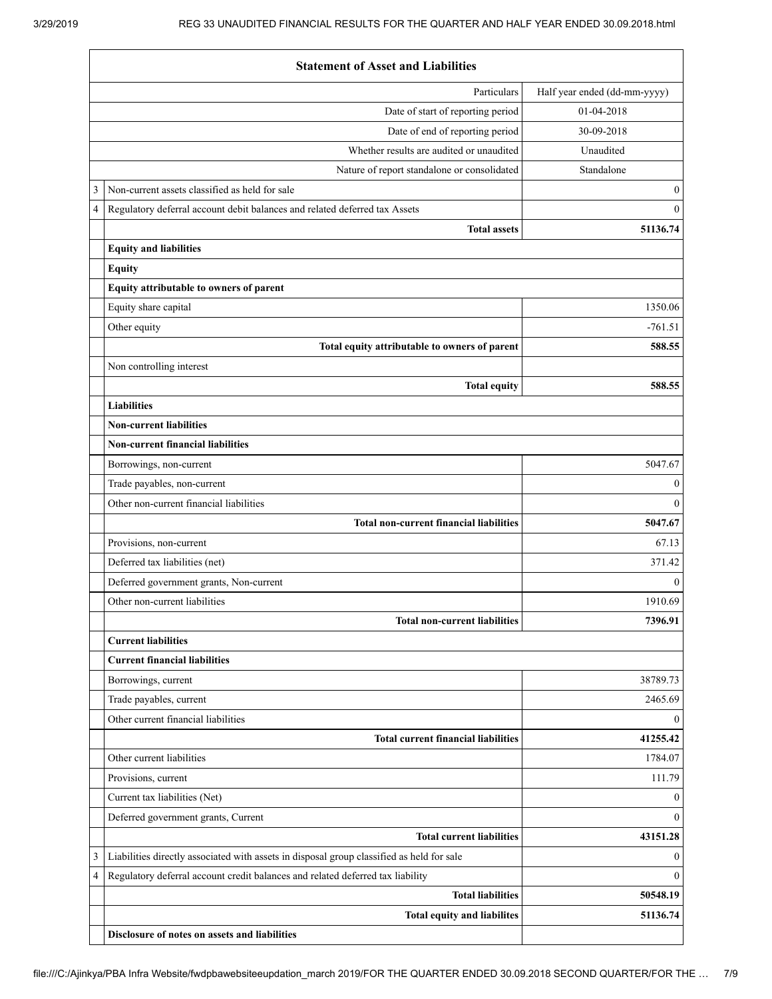|   | <b>Statement of Asset and Liabilities</b>                                                 |                              |  |  |
|---|-------------------------------------------------------------------------------------------|------------------------------|--|--|
|   | Particulars                                                                               | Half year ended (dd-mm-yyyy) |  |  |
|   | Date of start of reporting period                                                         | 01-04-2018                   |  |  |
|   | Date of end of reporting period                                                           | 30-09-2018                   |  |  |
|   | Whether results are audited or unaudited                                                  | Unaudited                    |  |  |
|   | Nature of report standalone or consolidated                                               | Standalone                   |  |  |
| 3 | Non-current assets classified as held for sale                                            | $\mathbf{0}$                 |  |  |
| 4 | Regulatory deferral account debit balances and related deferred tax Assets                | $\mathbf{0}$                 |  |  |
|   | <b>Total assets</b>                                                                       | 51136.74                     |  |  |
|   | <b>Equity and liabilities</b>                                                             |                              |  |  |
|   | <b>Equity</b>                                                                             |                              |  |  |
|   | Equity attributable to owners of parent                                                   |                              |  |  |
|   | Equity share capital                                                                      | 1350.06                      |  |  |
|   | Other equity                                                                              | $-761.51$                    |  |  |
|   | Total equity attributable to owners of parent                                             | 588.55                       |  |  |
|   | Non controlling interest                                                                  |                              |  |  |
|   | <b>Total equity</b>                                                                       | 588.55                       |  |  |
|   | <b>Liabilities</b>                                                                        |                              |  |  |
|   | <b>Non-current liabilities</b>                                                            |                              |  |  |
|   | <b>Non-current financial liabilities</b>                                                  |                              |  |  |
|   | Borrowings, non-current                                                                   | 5047.67                      |  |  |
|   | Trade payables, non-current                                                               | $\mathbf{0}$                 |  |  |
|   | Other non-current financial liabilities                                                   | $\mathbf{0}$                 |  |  |
|   | <b>Total non-current financial liabilities</b>                                            | 5047.67                      |  |  |
|   | Provisions, non-current                                                                   | 67.13                        |  |  |
|   | Deferred tax liabilities (net)                                                            | 371.42                       |  |  |
|   | Deferred government grants, Non-current                                                   | $\mathbf{0}$                 |  |  |
|   | Other non-current liabilities                                                             | 1910.69                      |  |  |
|   | <b>Total non-current liabilities</b>                                                      | 7396.91                      |  |  |
|   | <b>Current liabilities</b>                                                                |                              |  |  |
|   | <b>Current financial liabilities</b>                                                      |                              |  |  |
|   | Borrowings, current                                                                       | 38789.73                     |  |  |
|   | Trade payables, current                                                                   | 2465.69                      |  |  |
|   | Other current financial liabilities                                                       | $\mathbf{0}$                 |  |  |
|   | <b>Total current financial liabilities</b><br>Other current liabilities                   | 41255.42                     |  |  |
|   |                                                                                           | 1784.07                      |  |  |
|   | Provisions, current<br>Current tax liabilities (Net)                                      | 111.79<br>$\Omega$           |  |  |
|   |                                                                                           | $\theta$                     |  |  |
|   | Deferred government grants, Current<br><b>Total current liabilities</b>                   | 43151.28                     |  |  |
| 3 | Liabilities directly associated with assets in disposal group classified as held for sale | $\Omega$                     |  |  |
| 4 | Regulatory deferral account credit balances and related deferred tax liability            | $\theta$                     |  |  |
|   | <b>Total liabilities</b>                                                                  | 50548.19                     |  |  |
|   | <b>Total equity and liabilites</b>                                                        | 51136.74                     |  |  |
|   | Disclosure of notes on assets and liabilities                                             |                              |  |  |
|   |                                                                                           |                              |  |  |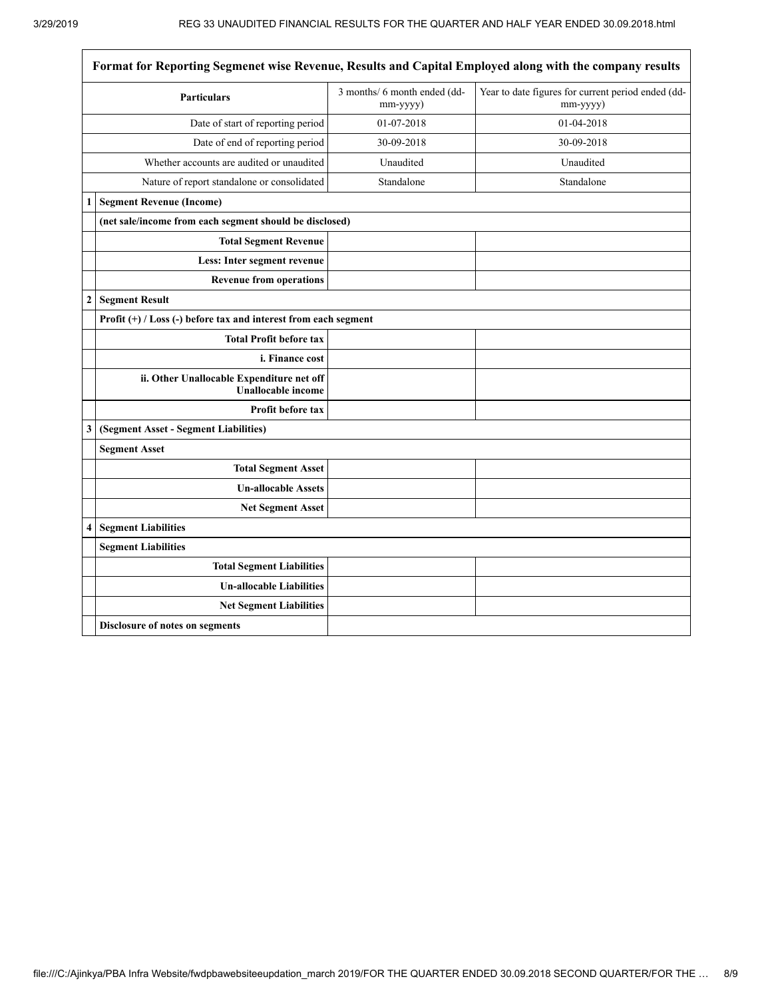$\overline{\phantom{a}}$ 

| Format for Reporting Segmenet wise Revenue, Results and Capital Employed along with the company results |                                                                        |                                          |                                                                |
|---------------------------------------------------------------------------------------------------------|------------------------------------------------------------------------|------------------------------------------|----------------------------------------------------------------|
|                                                                                                         | <b>Particulars</b>                                                     | 3 months/ 6 month ended (dd-<br>mm-yyyy) | Year to date figures for current period ended (dd-<br>mm-yyyy) |
| Date of start of reporting period                                                                       |                                                                        | 01-07-2018                               | 01-04-2018                                                     |
| Date of end of reporting period                                                                         |                                                                        | 30-09-2018                               | 30-09-2018                                                     |
|                                                                                                         | Whether accounts are audited or unaudited                              | Unaudited                                | Unaudited                                                      |
|                                                                                                         | Nature of report standalone or consolidated                            | Standalone                               | Standalone                                                     |
| 1                                                                                                       | <b>Segment Revenue (Income)</b>                                        |                                          |                                                                |
|                                                                                                         | (net sale/income from each segment should be disclosed)                |                                          |                                                                |
|                                                                                                         | <b>Total Segment Revenue</b>                                           |                                          |                                                                |
|                                                                                                         | Less: Inter segment revenue                                            |                                          |                                                                |
|                                                                                                         | <b>Revenue from operations</b>                                         |                                          |                                                                |
| $\overline{2}$                                                                                          | <b>Segment Result</b>                                                  |                                          |                                                                |
|                                                                                                         | Profit $(+)$ / Loss (-) before tax and interest from each segment      |                                          |                                                                |
|                                                                                                         | <b>Total Profit before tax</b>                                         |                                          |                                                                |
|                                                                                                         | i. Finance cost                                                        |                                          |                                                                |
|                                                                                                         | ii. Other Unallocable Expenditure net off<br><b>Unallocable income</b> |                                          |                                                                |
|                                                                                                         | <b>Profit before tax</b>                                               |                                          |                                                                |
| 3                                                                                                       | (Segment Asset - Segment Liabilities)                                  |                                          |                                                                |
|                                                                                                         | <b>Segment Asset</b>                                                   |                                          |                                                                |
|                                                                                                         | <b>Total Segment Asset</b>                                             |                                          |                                                                |
|                                                                                                         | <b>Un-allocable Assets</b>                                             |                                          |                                                                |
|                                                                                                         | <b>Net Segment Asset</b>                                               |                                          |                                                                |
| 4                                                                                                       | <b>Segment Liabilities</b>                                             |                                          |                                                                |
|                                                                                                         | <b>Segment Liabilities</b>                                             |                                          |                                                                |
|                                                                                                         | <b>Total Segment Liabilities</b>                                       |                                          |                                                                |
|                                                                                                         | <b>Un-allocable Liabilities</b>                                        |                                          |                                                                |
|                                                                                                         | <b>Net Segment Liabilities</b>                                         |                                          |                                                                |
|                                                                                                         | Disclosure of notes on segments                                        |                                          |                                                                |